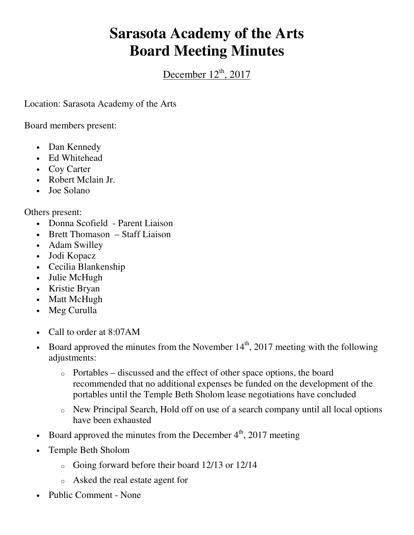## **Sarasota Academy of the Arts Board Meeting Minutes**

December  $12<sup>th</sup>$ , 2017

Location: Sarasota Academy of the Arts

Board members present:

- Dan Kennedy
- Ed Whitehead
- Coy Carter
- Robert Mclain Jr.
- Joe Solano

Others present:

- Donna Scofield Parent Liaison
- Brett Thomason Staff Liaison
- Adam Swilley
- Jodi Kopacz
- Cecilia Blankenship
- Julie McHugh
- Kristie Bryan
- Matt McHugh
- Meg Curulla
- Call to order at 8:07 AM
- Board approved the minutes from the November  $14<sup>th</sup>$ , 2017 meeting with the following adjustments:
	- o Portables discussed and the effect of other space options, the board recommended that no additional expenses be funded on the development of the portables until the Temple Beth Sholom lease negotiations have concluded
	- o New Principal Search, Hold off on use of a search company until all local options have been exhausted
- Board approved the minutes from the December  $4<sup>th</sup>$ , 2017 meeting
- Temple Beth Sholom
	- o Going forward before their board 12/13 or 12/14
	- o Asked the real estate agent for
- Public Comment None